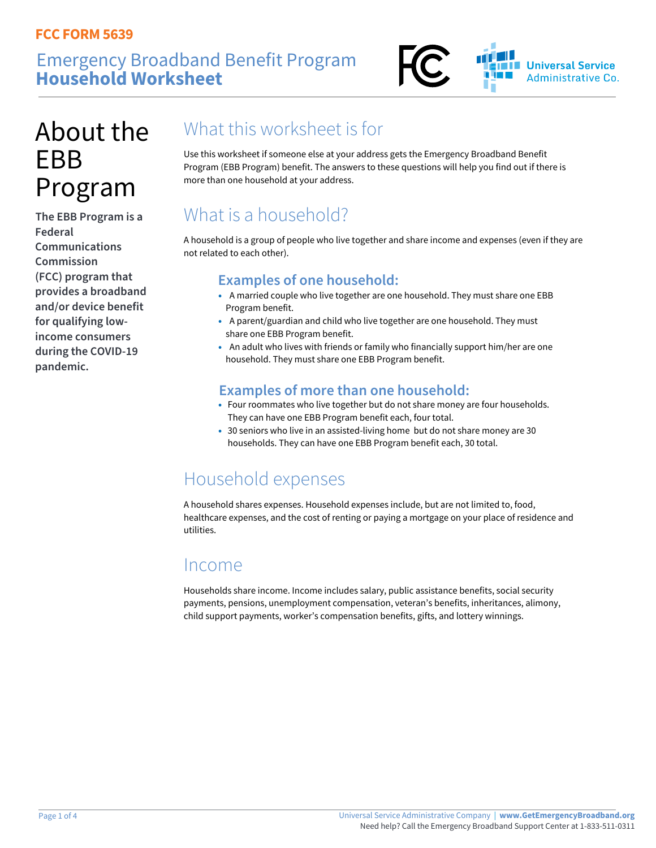### Emergency Broadband Benefit Program **Household Worksheet**



# About the EBB Program

**The EBB Program is a Federal Communications Commission (FCC) program that provides a broadband and/or device benefit for qualifying lowincome consumers during the COVID-19 pandemic.** 

## What this worksheet is for

Use this worksheet if someone else at your address gets the Emergency Broadband Benefit Program (EBB Program) benefit. The answers to these questions will help you find out if there is more than one household at your address.

## What is a household?

A household is a group of people who live together and share income and expenses (even if they are not related to each other).

#### **Examples of one household:**

- A married couple who live together are one household. They must share one EBB Program benefit.
- A parent/guardian and child who live together are one household. They must share one EBB Program benefit.
- An adult who lives with friends or family who financially support him/her are one household. They must share one EBB Program benefit.

#### **Examples of more than one household:**

- Four roommates who live together but do not share money are four households. They can have one EBB Program benefit each, four total.
- 30 seniors who live in an assisted-living home but do not share money are 30 households. They can have one EBB Program benefit each, 30 total.

## Household expenses

A household shares expenses. Household expenses include, but are not limited to, food, healthcare expenses, and the cost of renting or paying a mortgage on your place of residence and utilities.

#### Income

Households share income. Income includes salary, public assistance benefits, social security payments, pensions, unemployment compensation, veteran's benefits, inheritances, alimony, child support payments, worker's compensation benefits, gifts, and lottery winnings.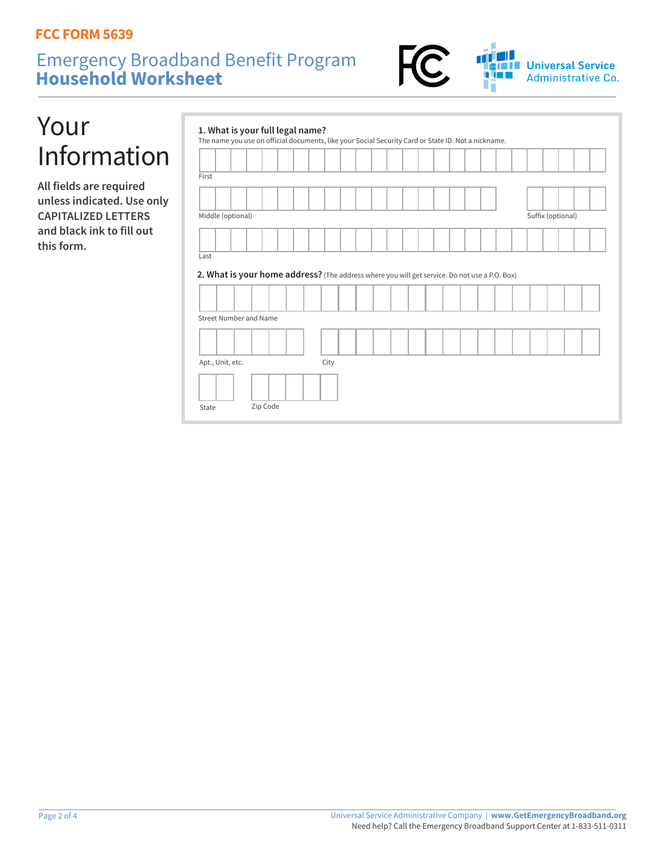### Emergency Broadband Benefit Program **Household Worksheet**



# Your Information

**All fields are required unless indicated. Use only CAPITALIZED LETTERS and black ink to fill out this form.**

| First                                                                                                                                              |      |  |  |  |  |                   |  |
|----------------------------------------------------------------------------------------------------------------------------------------------------|------|--|--|--|--|-------------------|--|
|                                                                                                                                                    |      |  |  |  |  |                   |  |
|                                                                                                                                                    |      |  |  |  |  |                   |  |
| Middle (optional)                                                                                                                                  |      |  |  |  |  | Suffix (optional) |  |
|                                                                                                                                                    |      |  |  |  |  |                   |  |
|                                                                                                                                                    |      |  |  |  |  |                   |  |
|                                                                                                                                                    |      |  |  |  |  |                   |  |
|                                                                                                                                                    |      |  |  |  |  |                   |  |
|                                                                                                                                                    |      |  |  |  |  |                   |  |
|                                                                                                                                                    |      |  |  |  |  |                   |  |
| 2. What is your home address? (The address where you will get service. Do not use a P.O. Box)<br><b>Street Number and Name</b><br>Apt., Unit, etc. | City |  |  |  |  |                   |  |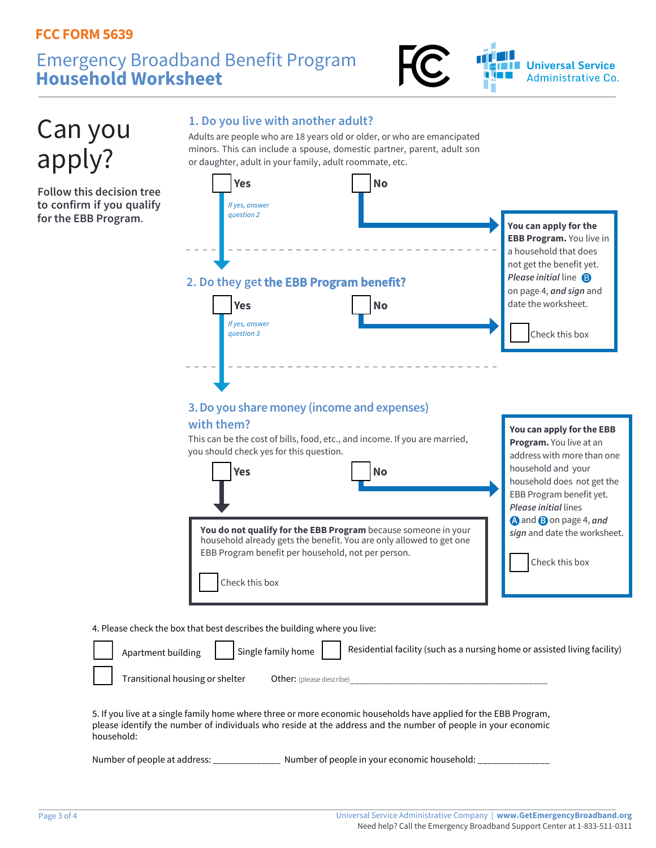### Emergency Broadband Benefit Program **Household Worksheet**





5. If you live at a single family home where three or more economic households have applied for the EBB Program, please identify the number of individuals who reside at the address and the number of people in your economic household:

Number of people at address: \_\_\_\_\_\_\_\_\_\_\_\_\_\_\_\_\_\_\_ Number of people in your economic household: \_\_\_